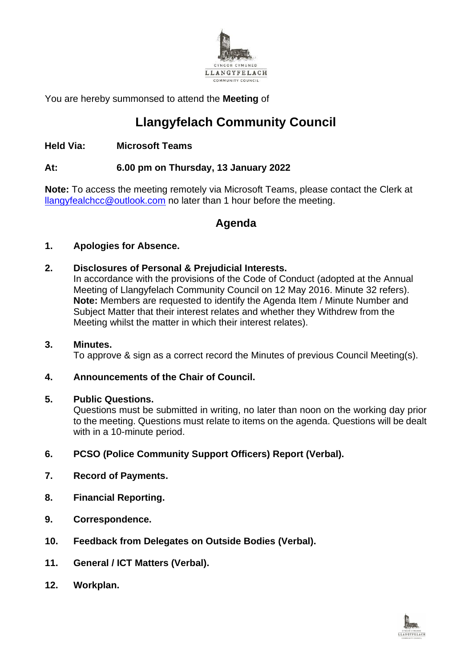

You are hereby summonsed to attend the **Meeting** of

# **Llangyfelach Community Council**

# **Held Via: Microsoft Teams**

### **At: 6.00 pm on Thursday, 13 January 2022**

**Note:** To access the meeting remotely via Microsoft Teams, please contact the Clerk at [llangyfealchcc@outlook.com](mailto:llangyfealchcc@outlook.com) no later than 1 hour before the meeting.

# **Agenda**

### **1. Apologies for Absence.**

### **2. Disclosures of Personal & Prejudicial Interests.**

In accordance with the provisions of the Code of Conduct (adopted at the Annual Meeting of Llangyfelach Community Council on 12 May 2016. Minute 32 refers). **Note:** Members are requested to identify the Agenda Item / Minute Number and Subject Matter that their interest relates and whether they Withdrew from the Meeting whilst the matter in which their interest relates).

#### **3. Minutes.**

To approve & sign as a correct record the Minutes of previous Council Meeting(s).

#### **4. Announcements of the Chair of Council.**

#### **5. Public Questions.**

Questions must be submitted in writing, no later than noon on the working day prior to the meeting. Questions must relate to items on the agenda. Questions will be dealt with in a 10-minute period.

- **6. PCSO (Police Community Support Officers) Report (Verbal).**
- **7. Record of Payments.**
- **8. Financial Reporting.**
- **9. Correspondence.**
- **10. Feedback from Delegates on Outside Bodies (Verbal).**
- **11. General / ICT Matters (Verbal).**
- **12. Workplan.**